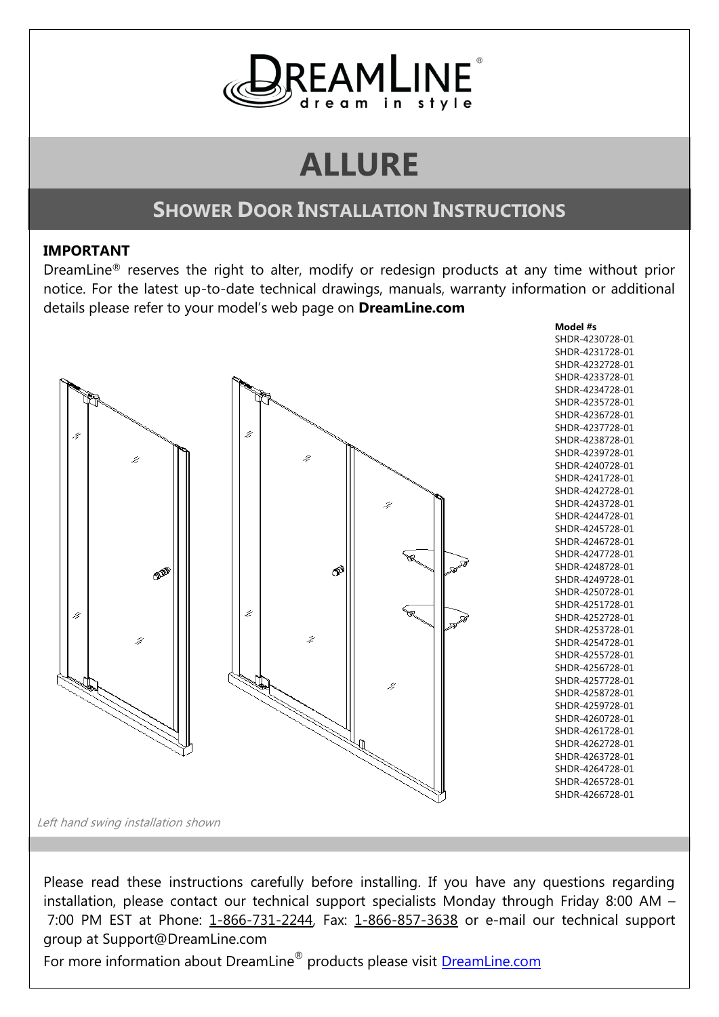

# **ALLURE**

# **SHOWER DOOR INSTALLATION INSTRUCTIONS**

#### **IMPORTANT**

DreamLine® reserves the right to alter, modify or redesign products at any time without prior notice. For the latest up-to-date technical drawings, manuals, warranty information or additional details please refer to your model's web page on **DreamLine.com**



Please read these instructions carefully before installing. If you have any questions regarding installation, please contact our technical support specialists Monday through Friday 8:00 AM – 7:00 PM EST at Phone: 1-866-731-2244, Fax: 1-866-857-3638 or e-mail our technical support group at Support@DreamLine.com

For more information about DreamLine® products please visit **[DreamLine.com](http://www.dreamline.com/)**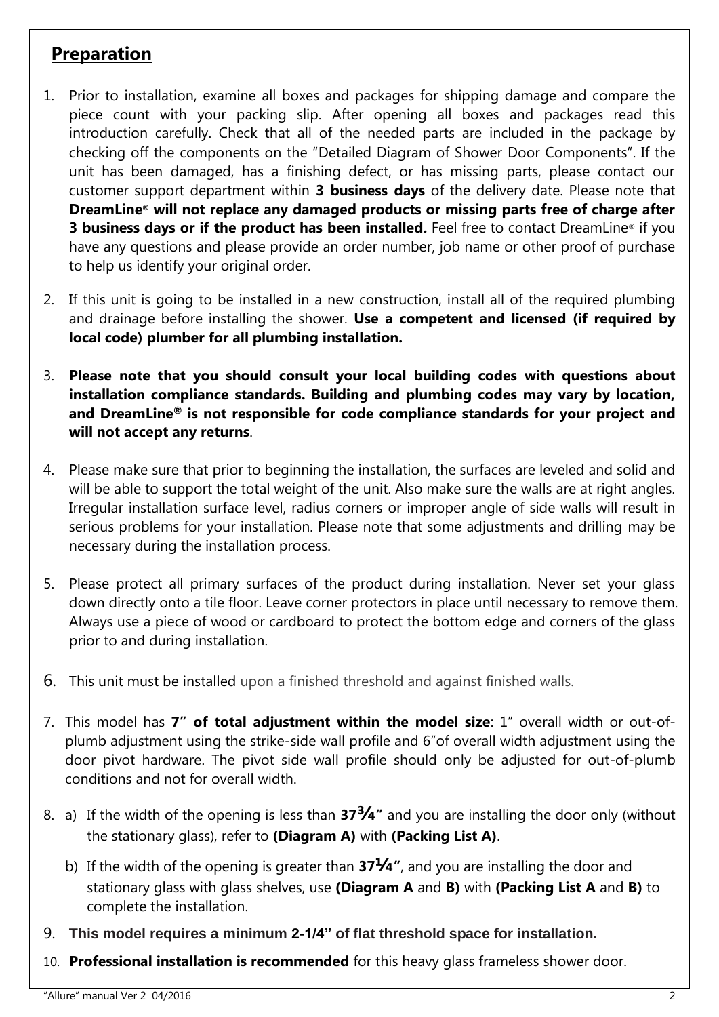#### **Preparation**

- 1. Prior to installation, examine all boxes and packages for shipping damage and compare the piece count with your packing slip. After opening all boxes and packages read this introduction carefully. Check that all of the needed parts are included in the package by checking off the components on the "Detailed Diagram of Shower Door Components". If the unit has been damaged, has a finishing defect, or has missing parts, please contact our customer support department within **3 business days** of the delivery date. Please note that **DreamLine® will not replace any damaged products or missing parts free of charge after 3 business days or if the product has been installed.** Feel free to contact DreamLine® if you have any questions and please provide an order number, job name or other proof of purchase to help us identify your original order.
- 2. If this unit is going to be installed in a new construction, install all of the required plumbing and drainage before installing the shower. **Use a competent and licensed (if required by local code) plumber for all plumbing installation.**
- 3. **Please note that you should consult your local building codes with questions about installation compliance standards. Building and plumbing codes may vary by location, and DreamLine® is not responsible for code compliance standards for your project and will not accept any returns**.
- 4. Please make sure that prior to beginning the installation, the surfaces are leveled and solid and will be able to support the total weight of the unit. Also make sure the walls are at right angles. Irregular installation surface level, radius corners or improper angle of side walls will result in serious problems for your installation. Please note that some adjustments and drilling may be necessary during the installation process.
- 5. Please protect all primary surfaces of the product during installation. Never set your glass down directly onto a tile floor. Leave corner protectors in place until necessary to remove them. Always use a piece of wood or cardboard to protect the bottom edge and corners of the glass prior to and during installation.
- 6. This unit must be installed upon a finished threshold and against finished walls.
- 7. This model has **7" of total adjustment within the model size**: 1" overall width or out-ofplumb adjustment using the strike-side wall profile and 6"of overall width adjustment using the door pivot hardware. The pivot side wall profile should only be adjusted for out-of-plumb conditions and not for overall width.
- 8. a) If the width of the opening is less than **37¾"** and you are installing the door only (without the stationary glass), refer to **(Diagram A)** with **(Packing List A)**.
	- b) If the width of the opening is greater than **37¼"**, and you are installing the door and stationary glass with glass shelves, use **(Diagram A** and **B)** with **(Packing List A** and **B)** to complete the installation.
- 9. **This model requires a minimum 2-1/4" of flat threshold space for installation.**
- 10. **Professional installation is recommended** for this heavy glass frameless shower door.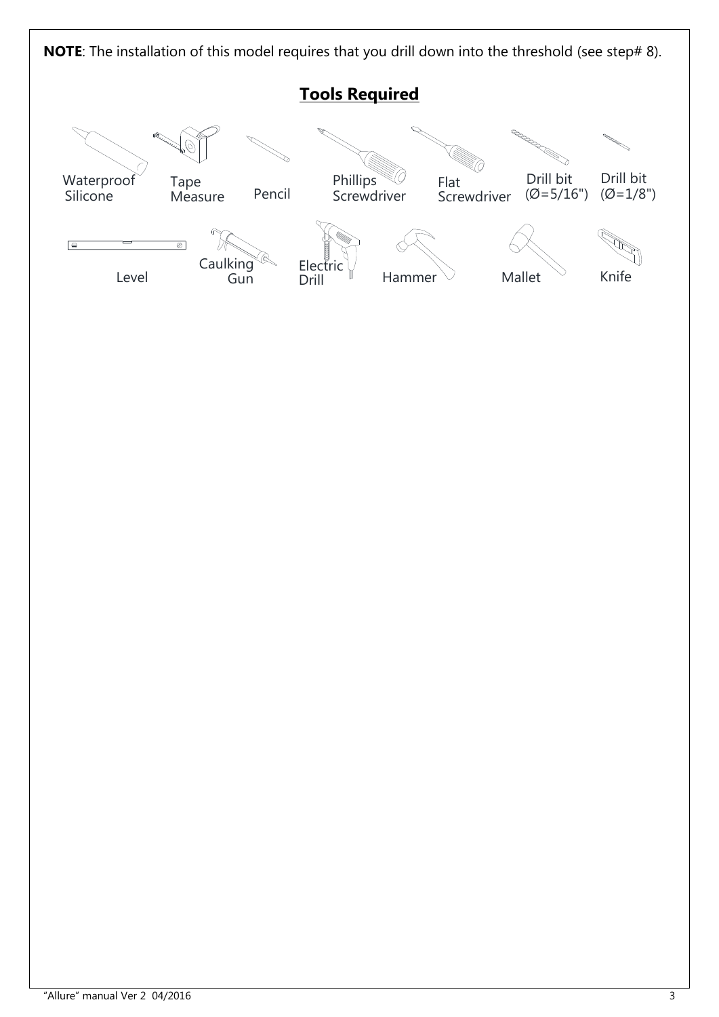**NOTE**: The installation of this model requires that you drill down into the threshold (see step# 8).

## **Tools Required**

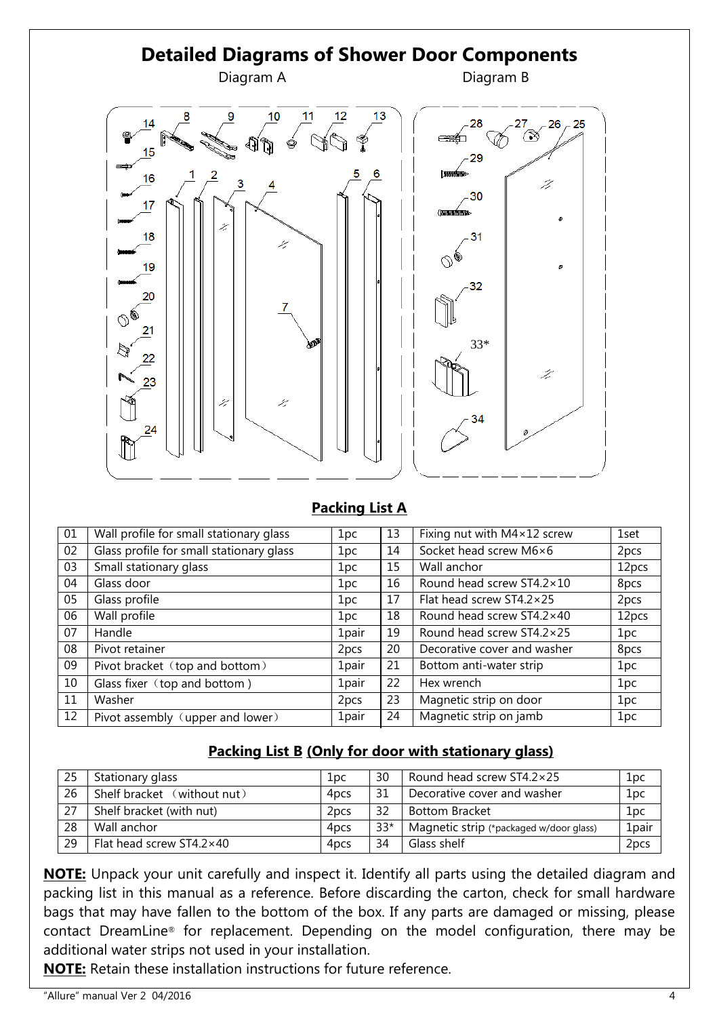

#### **Packing List A**

| 01 | Wall profile for small stationary glass  | 1pc               | 13 | Fixing nut with M4×12 screw | 1set  |
|----|------------------------------------------|-------------------|----|-----------------------------|-------|
| 02 | Glass profile for small stationary glass | 1pc               | 14 | Socket head screw M6×6      | 2pcs  |
| 03 | Small stationary glass                   | 1pc               | 15 | Wall anchor                 | 12pcs |
| 04 | Glass door                               | 1pc               | 16 | Round head screw ST4.2×10   | 8pcs  |
| 05 | Glass profile                            | 1pc               | 17 | Flat head screw ST4.2×25    | 2pcs  |
| 06 | Wall profile                             | 1pc               | 18 | Round head screw ST4.2×40   | 12pcs |
| 07 | Handle                                   | 1pair             | 19 | Round head screw ST4.2×25   | 1pc   |
| 08 | Pivot retainer                           | 2pcs              | 20 | Decorative cover and washer | 8pcs  |
| 09 | Pivot bracket (top and bottom)           | 1pair             | 21 | Bottom anti-water strip     | 1pc   |
| 10 | Glass fixer (top and bottom)             | 1 <sub>pair</sub> | 22 | Hex wrench                  | 1pc   |
| 11 | Washer                                   | 2pcs              | 23 | Magnetic strip on door      | 1pc   |
| 12 | Pivot assembly (upper and lower)         | 1pair             | 24 | Magnetic strip on jamb      | 1pc   |

#### **Packing List B (Only for door with stationary glass)**

| 25 | Stationary glass            | 1pc              | 30    | Round head screw ST4.2×25               | 1pc               |
|----|-----------------------------|------------------|-------|-----------------------------------------|-------------------|
| 26 | Shelf bracket (without nut) | 4 <sub>pcs</sub> | 31    | Decorative cover and washer             | 1pc               |
| 27 | Shelf bracket (with nut)    | 2 <sub>pcs</sub> | 32    | <b>Bottom Bracket</b>                   | 1pc               |
| 28 | Wall anchor                 | 4 <sub>pcs</sub> | $33*$ | Magnetic strip (*packaged w/door glass) | 1 <sub>pair</sub> |
| 29 | Flat head screw ST4.2×40    | 4 <sub>DCS</sub> | 34    | Glass shelf                             | 2 <sub>pcs</sub>  |

**NOTE:** Unpack your unit carefully and inspect it. Identify all parts using the detailed diagram and packing list in this manual as a reference. Before discarding the carton, check for small hardware bags that may have fallen to the bottom of the box. If any parts are damaged or missing, please contact DreamLine® for replacement. Depending on the model configuration, there may be additional water strips not used in your installation.

**NOTE:** Retain these installation instructions for future reference.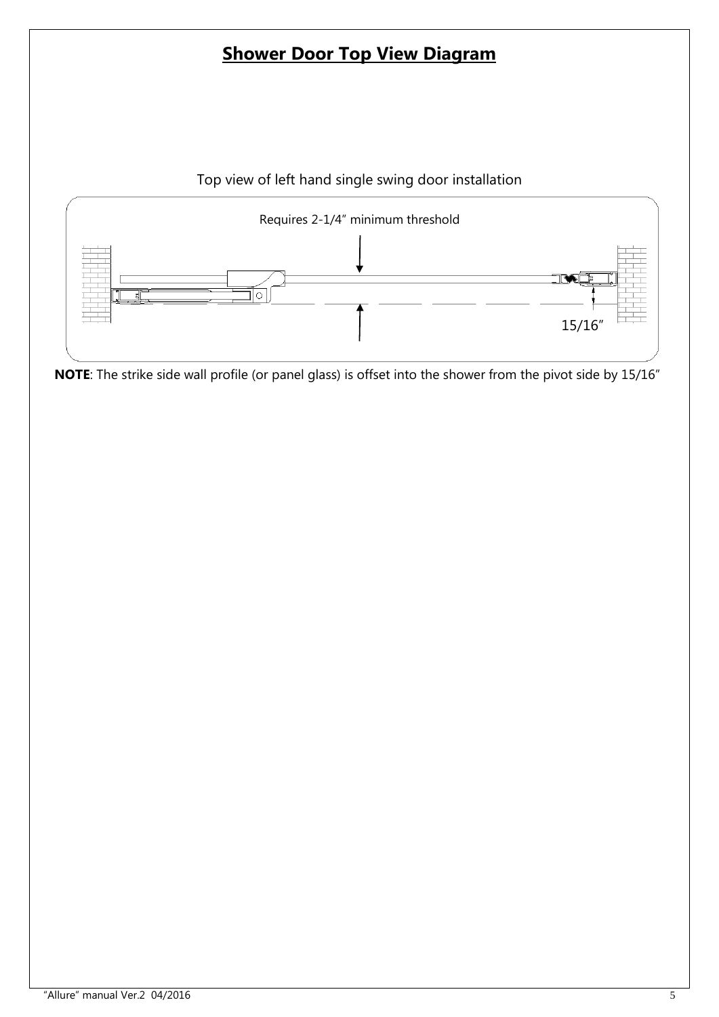# **Shower Door Top View Diagram**





**NOTE**: The strike side wall profile (or panel glass) is offset into the shower from the pivot side by 15/16"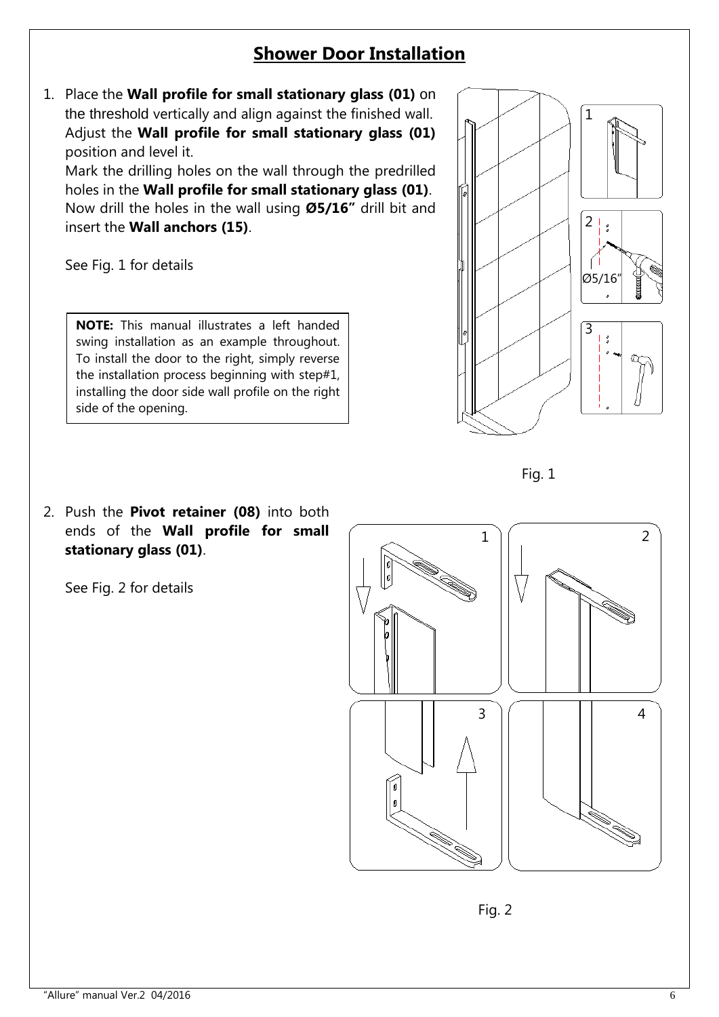## **Shower Door Installation**

1. Place the **Wall profile for small stationary glass (01)** on the threshold vertically and align against the finished wall. Adjust the **Wall profile for small stationary glass (01)** position and level it.

Mark the drilling holes on the wall through the predrilled holes in the **Wall profile for small stationary glass (01)**. Now drill the holes in the wall using **Ø5/16"** drill bit and insert the **Wall anchors (15)**.

See Fig. 1 for details

**NOTE:** This manual illustrates a left handed swing installation as an example throughout. To install the door to the right, simply reverse the installation process beginning with step#1, installing the door side wall profile on the right side of the opening.



2. Push the **Pivot retainer (08)** into both ends of the **Wall profile for small stationary glass (01)**.

See Fig. 2 for details



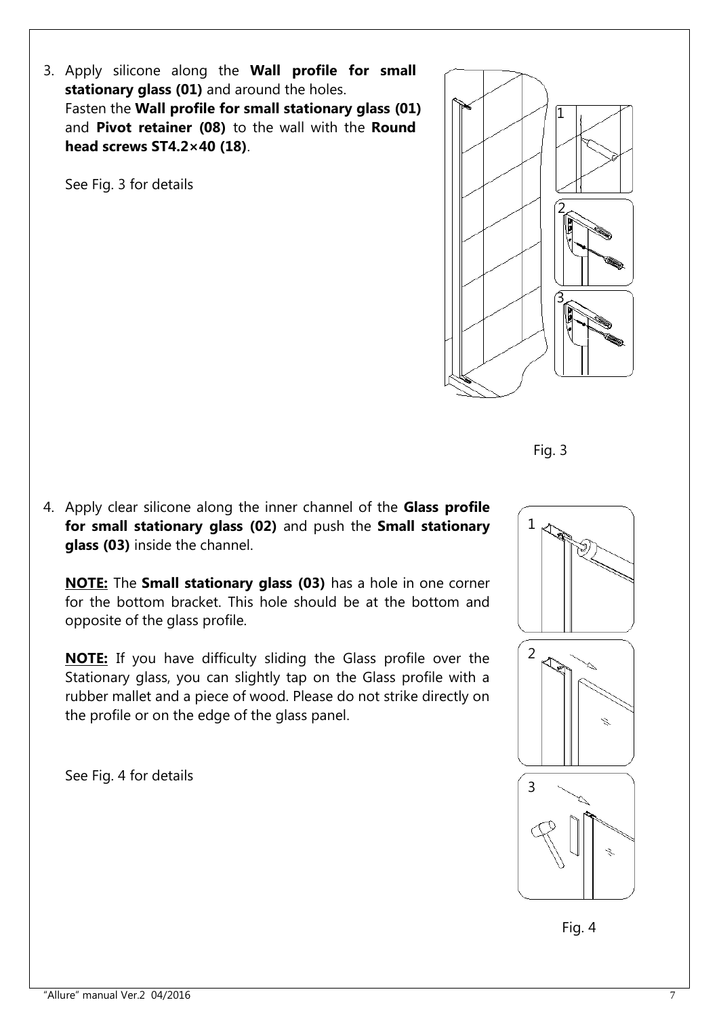3. Apply silicone along the **Wall profile for small stationary glass (01)** and around the holes. Fasten the **Wall profile for small stationary glass (01)** and **Pivot retainer (08)** to the wall with the **Round head screws ST4.2×40 (18)**.

See Fig. 3 for details





4. Apply clear silicone along the inner channel of the **Glass profile for small stationary glass (02)** and push the **Small stationary glass (03)** inside the channel.

**NOTE:** The **Small stationary glass (03)** has a hole in one corner for the bottom bracket. This hole should be at the bottom and opposite of the glass profile.

**NOTE:** If you have difficulty sliding the Glass profile over the Stationary glass, you can slightly tap on the Glass profile with a rubber mallet and a piece of wood. Please do not strike directly on the profile or on the edge of the glass panel.

See Fig. 4 for details



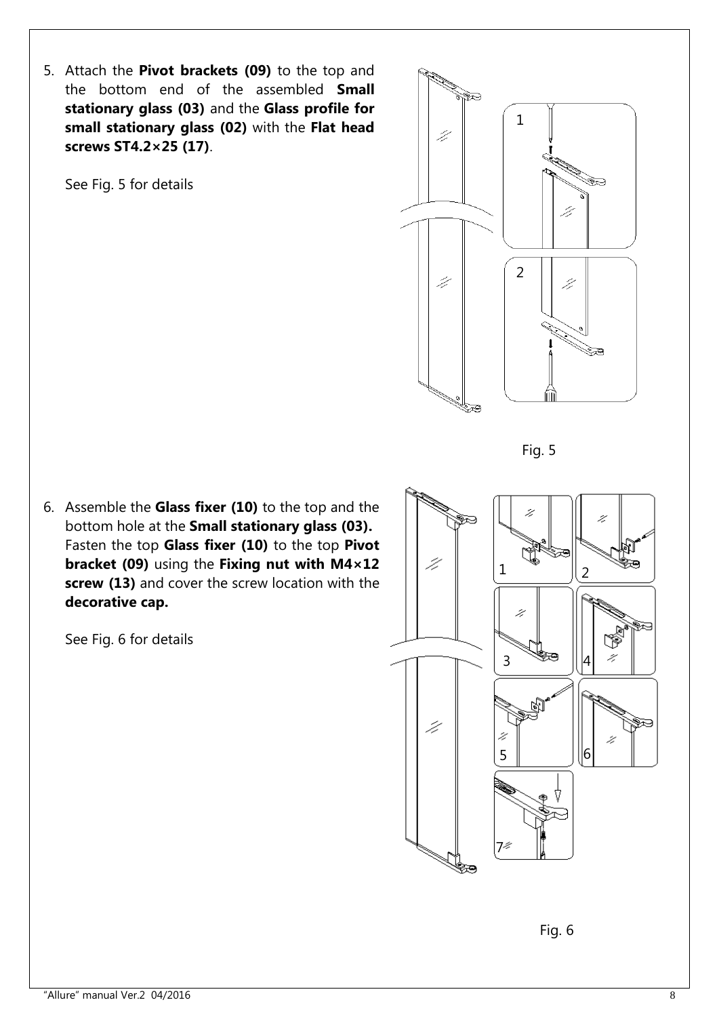5. Attach the **Pivot brackets (09)** to the top and the bottom end of the assembled **Small stationary glass (03)** and the **Glass profile for small stationary glass (02)** with the **Flat head screws ST4.2×25 (17)**.

See Fig. 5 for details



Fig. 5

6. Assemble the **Glass fixer (10)** to the top and the bottom hole at the **Small stationary glass (03).** Fasten the top **Glass fixer (10)** to the top **Pivot bracket (09)** using the **Fixing nut with M4×12 screw (13)** and cover the screw location with the **decorative cap.**

See Fig. 6 for details



Fig. 6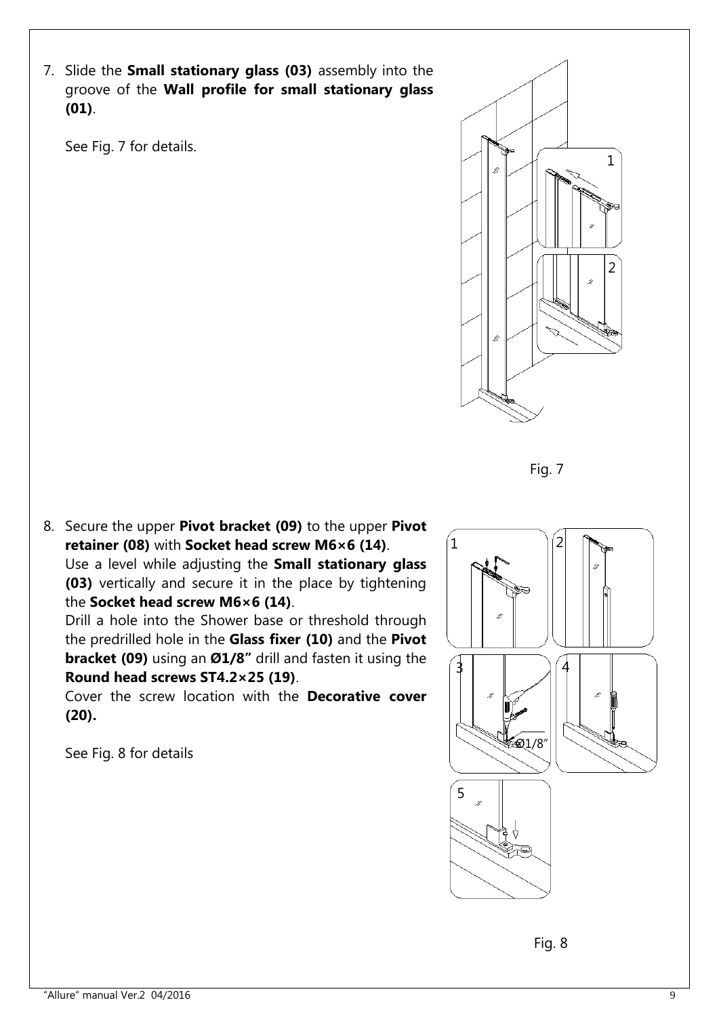7. Slide the **Small stationary glass (03)** assembly into the groove of the **Wall profile for small stationary glass (01)**.

See Fig. 7 for details.



Fig. 7

8. Secure the upper **Pivot bracket (09)** to the upper **Pivot retainer (08)** with **Socket head screw M6×6 (14)**. Use a level while adjusting the **Small stationary glass (03)** vertically and secure it in the place by tightening the **Socket head screw M6×6 (14)**.

Drill a hole into the Shower base or threshold through the predrilled hole in the **Glass fixer (10)** and the **Pivot bracket (09)** using an **Ø1/8"** drill and fasten it using the **Round head screws ST4.2×25 (19)**.

Cover the screw location with the **Decorative cover (20).**

See Fig. 8 for details



Fig. 8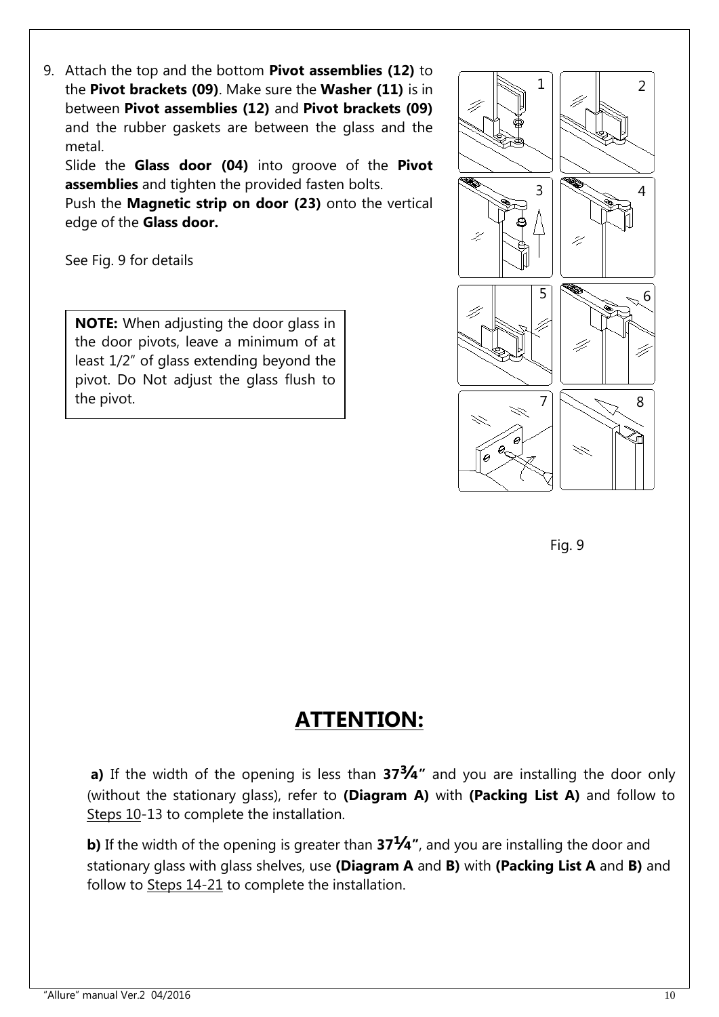9. Attach the top and the bottom **Pivot assemblies (12)** to the **Pivot brackets (09)**. Make sure the **Washer (11)** is in between **Pivot assemblies (12)** and **Pivot brackets (09)** and the rubber gaskets are between the glass and the metal.

Slide the **Glass door (04)** into groove of the **Pivot assemblies** and tighten the provided fasten bolts.

Push the **Magnetic strip on door (23)** onto the vertical edge of the **Glass door.** 

See Fig. 9 for details

**NOTE:** When adjusting the door glass in the door pivots, leave a minimum of at least 1/2" of glass extending beyond the pivot. Do Not adjust the glass flush to the pivot.





# **ATTENTION:**

**a)** If the width of the opening is less than **37¾"** and you are installing the door only (without the stationary glass), refer to **(Diagram A)** with **(Packing List A)** and follow to Steps 10-13 to complete the installation.

**b)** If the width of the opening is greater than **37¼"**, and you are installing the door and stationary glass with glass shelves, use **(Diagram A** and **B)** with **(Packing List A** and **B)** and follow to Steps 14-21 to complete the installation.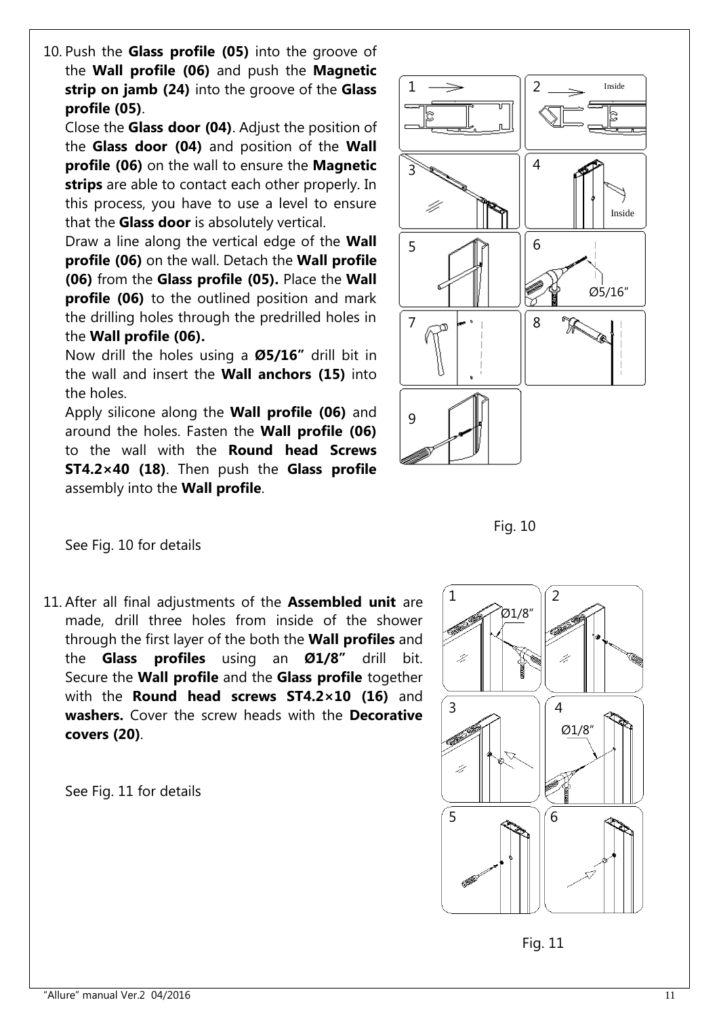10. Push the **Glass profile (05)** into the groove of the **Wall profile (06)** and push the **Magnetic strip on jamb (24)** into the groove of the **Glass profile (05)**.

Close the **Glass door (04)**. Adjust the position of the **Glass door (04)** and position of the **Wall profile (06)** on the wall to ensure the **Magnetic strips** are able to contact each other properly. In this process, you have to use a level to ensure that the **Glass door** is absolutely vertical.

Draw a line along the vertical edge of the **Wall profile (06)** on the wall. Detach the **Wall profile (06)** from the **Glass profile (05).** Place the **Wall profile (06)** to the outlined position and mark the drilling holes through the predrilled holes in the **Wall profile (06).**

Now drill the holes using a **Ø5/16"** drill bit in the wall and insert the **Wall anchors (15)** into the holes.

Apply silicone along the **Wall profile (06)** and around the holes. Fasten the **Wall profile (06)** to the wall with the **Round head Screws ST4.2×40 (18)**. Then push the **Glass profile**  assembly into the **Wall profile**.





See Fig. 10 for details

11. After all final adjustments of the **Assembled unit** are made, drill three holes from inside of the shower through the first layer of the both the **Wall profiles** and the **Glass profiles** using an **Ø1/8"** drill bit. Secure the **Wall profile** and the **Glass profile** together with the **Round head screws ST4.2×10 (16)** and **washers.** Cover the screw heads with the **Decorative covers (20)**.

See Fig. 11 for details



Fig. 11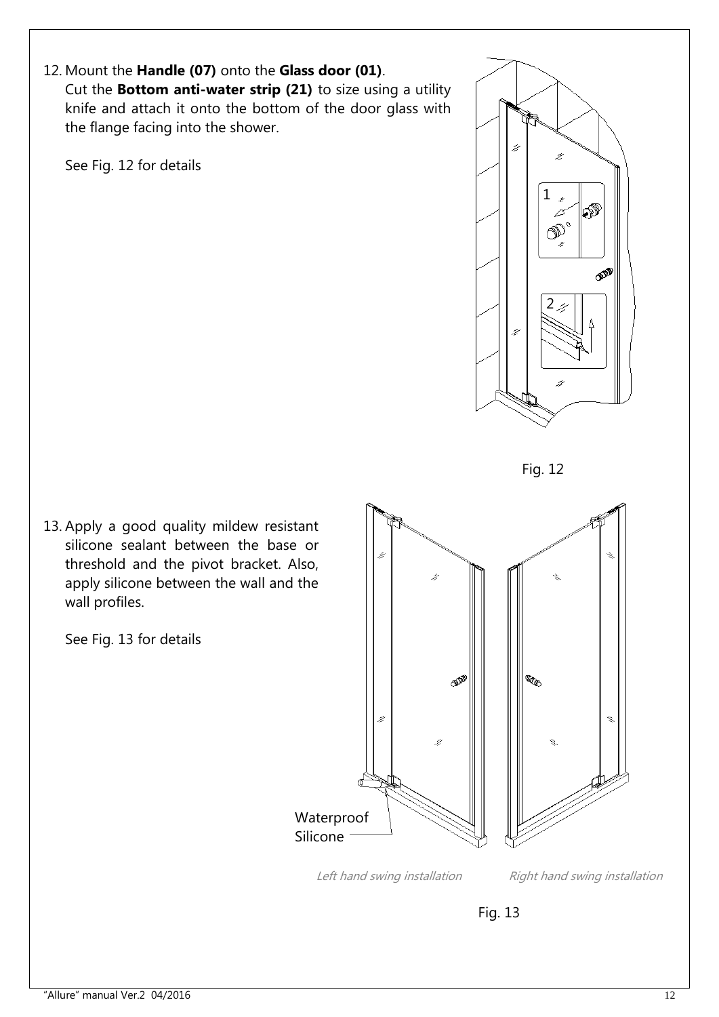12. Mount the **Handle (07)** onto the **Glass door (01)**. Cut the **Bottom anti-water strip (21)** to size using a utility knife and attach it onto the bottom of the door glass with the flange facing into the shower.

See Fig. 12 for details





13. Apply a good quality mildew resistant silicone sealant between the base or threshold and the pivot bracket. Also, apply silicone between the wall and the wall profiles.

See Fig. 13 for details



Left hand swing installation Right hand swing installation

Fig. 13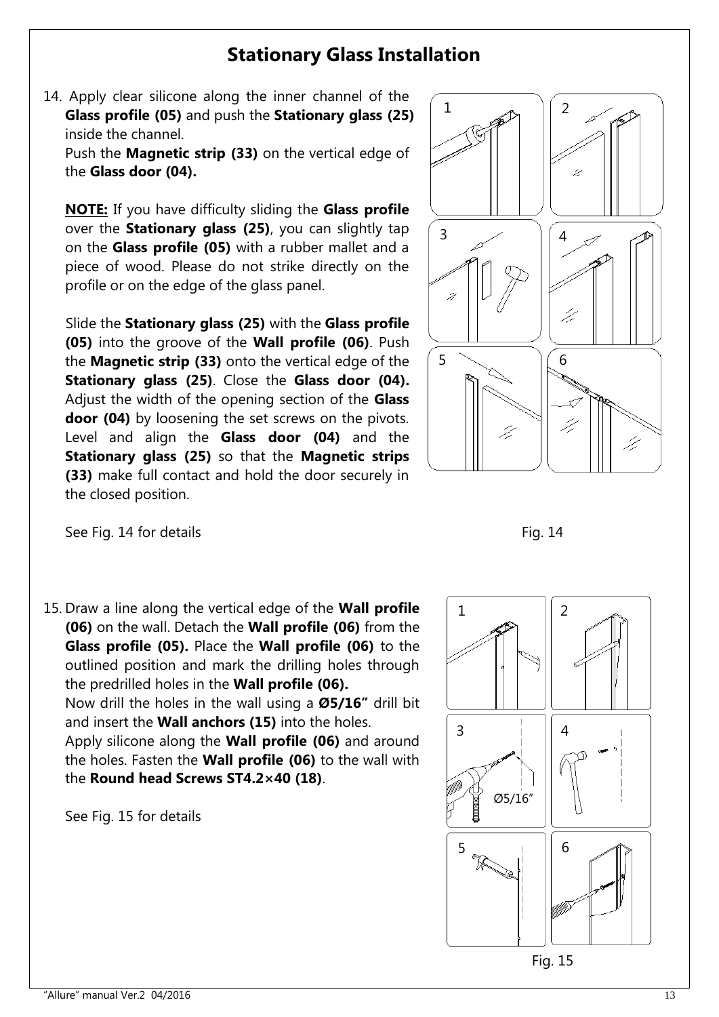# **Stationary Glass Installation**

14. Apply clear silicone along the inner channel of the **Glass profile (05)** and push the **Stationary glass (25)** inside the channel.

Push the **Magnetic strip (33)** on the vertical edge of the **Glass door (04).**

**NOTE:** If you have difficulty sliding the **Glass profile** over the **Stationary glass (25)**, you can slightly tap on the **Glass profile (05)** with a rubber mallet and a piece of wood. Please do not strike directly on the profile or on the edge of the glass panel.

 Slide the **Stationary glass (25)** with the **Glass profile (05)** into the groove of the **Wall profile (06)**. Push the **Magnetic strip (33)** onto the vertical edge of the **Stationary glass (25)**. Close the **Glass door (04).** Adjust the width of the opening section of the **Glass door (04)** by loosening the set screws on the pivots. Level and align the **Glass door (04)** and the **Stationary glass (25)** so that the **Magnetic strips (33)** make full contact and hold the door securely in the closed position.





15. Draw a line along the vertical edge of the **Wall profile (06)** on the wall. Detach the **Wall profile (06)** from the **Glass profile (05).** Place the **Wall profile (06)** to the outlined position and mark the drilling holes through the predrilled holes in the **Wall profile (06).** Now drill the holes in the wall using a **Ø5/16"** drill bit and insert the **Wall anchors (15)** into the holes. Apply silicone along the **Wall profile (06)** and around the holes. Fasten the **Wall profile (06)** to the wall with the **Round head Screws ST4.2×40 (18)**.

See Fig. 15 for details



Fig. 15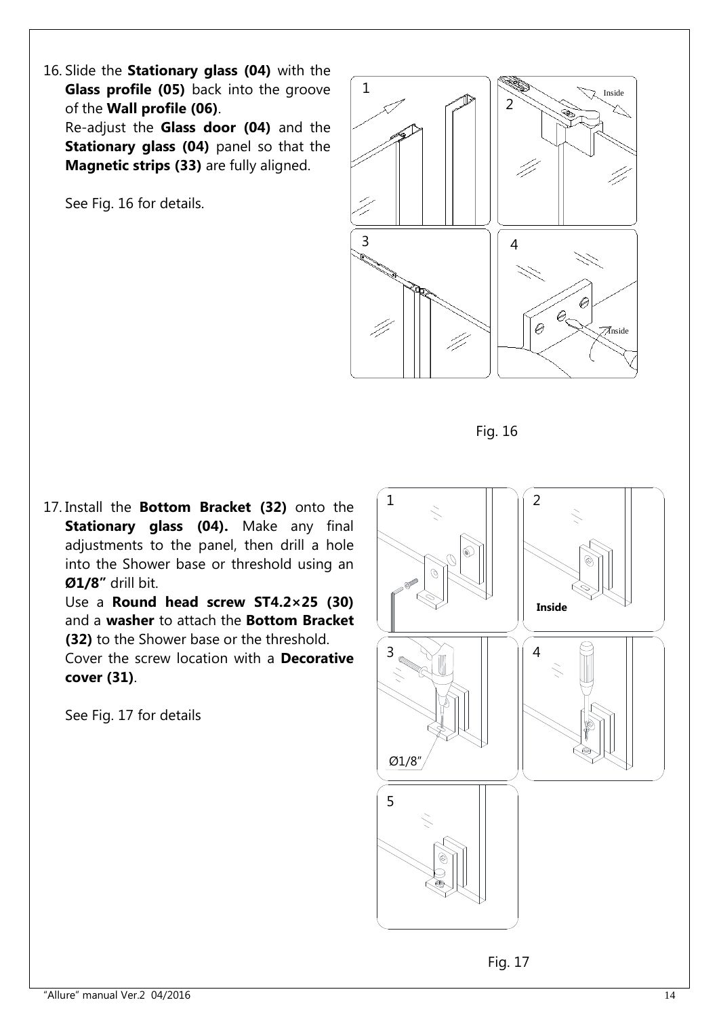16. Slide the **Stationary glass (04)** with the **Glass profile (05)** back into the groove of the **Wall profile (06)**.

Re-adjust the **Glass door (04)** and the **Stationary glass (04)** panel so that the **Magnetic strips (33)** are fully aligned.

See Fig. 16 for details.



Fig. 16

17. Install the **Bottom Bracket (32)** onto the **Stationary glass (04).** Make any final adjustments to the panel, then drill a hole into the Shower base or threshold using an **Ø1/8"** drill bit.

Use a **Round head screw ST4.2×25 (30)** and a **washer** to attach the **Bottom Bracket (32)** to the Shower base or the threshold.

Cover the screw location with a **Decorative cover (31)**.

See Fig. 17 for details



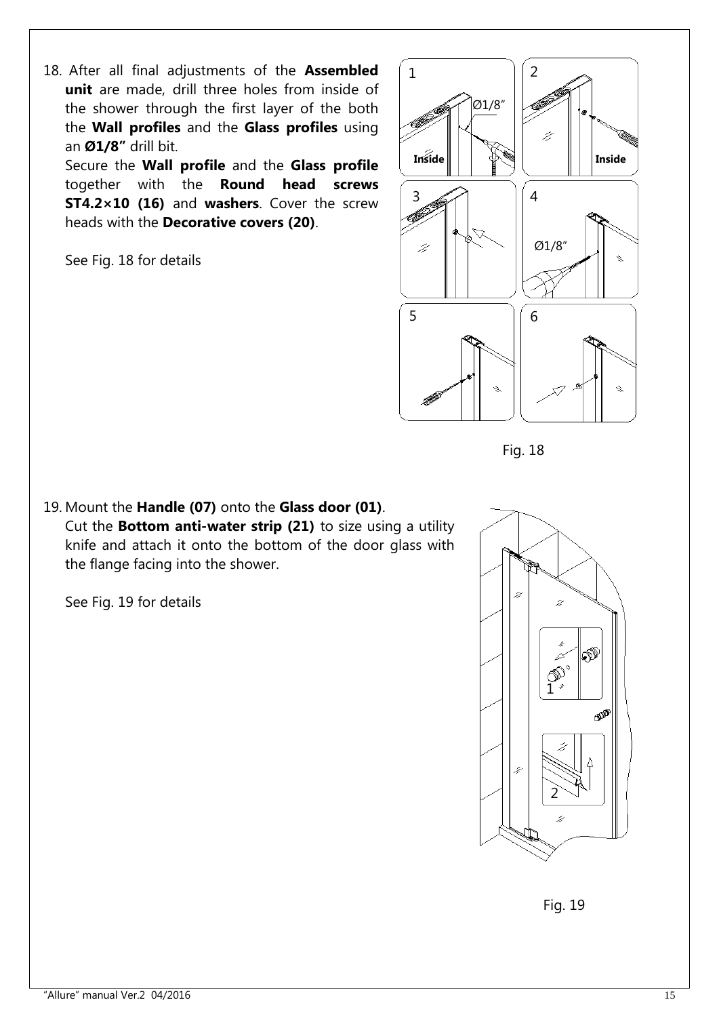18. After all final adjustments of the **Assembled unit** are made, drill three holes from inside of the shower through the first layer of the both the **Wall profiles** and the **Glass profiles** using an **Ø1/8"** drill bit.

Secure the **Wall profile** and the **Glass profile** together with the **Round head screws ST4.2×10 (16)** and **washers**. Cover the screw heads with the **Decorative covers (20)**.

See Fig. 18 for details



Fig. 18

19. Mount the **Handle (07)** onto the **Glass door (01)**. Cut the **Bottom anti-water strip (21)** to size using a utility knife and attach it onto the bottom of the door glass with the flange facing into the shower.

See Fig. 19 for details



Fig. 19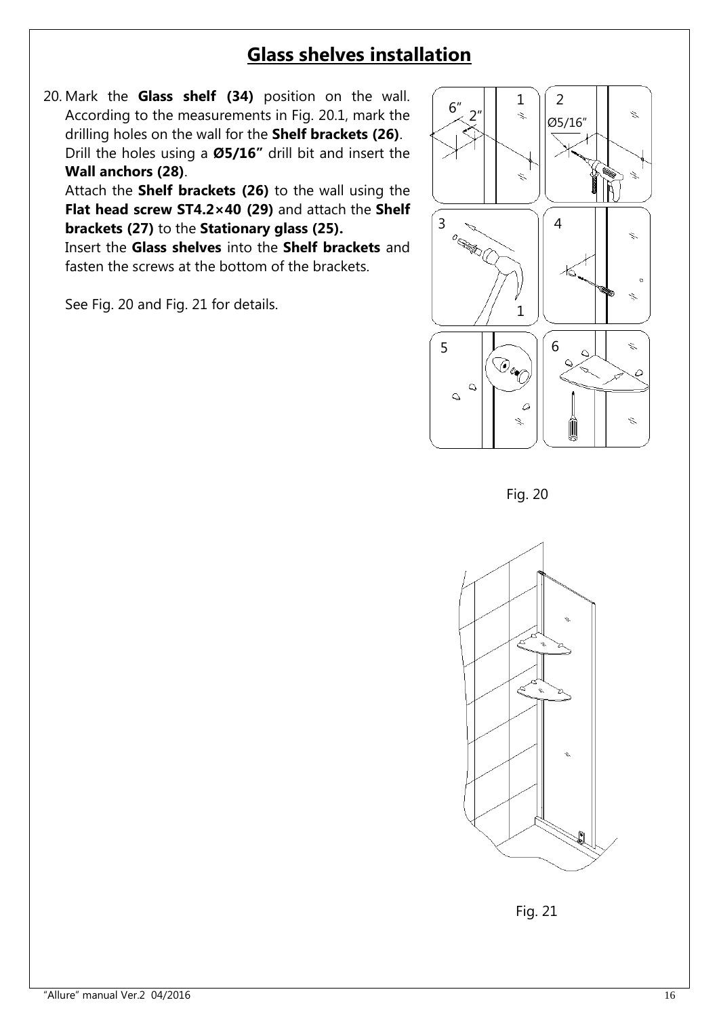# **Glass shelves installation**

20. Mark the **Glass shelf (34)** position on the wall. According to the measurements in Fig. 20.1, mark the drilling holes on the wall for the **Shelf brackets (26)**. Drill the holes using a **Ø5/16"** drill bit and insert the **Wall anchors (28)**.

Attach the **Shelf brackets (26)** to the wall using the **Flat head screw ST4.2×40 (29)** and attach the **Shelf brackets (27)** to the **Stationary glass (25).**

Insert the **Glass shelves** into the **Shelf brackets** and fasten the screws at the bottom of the brackets.

See Fig. 20 and Fig. 21 for details.



Fig. 20



Fig. 21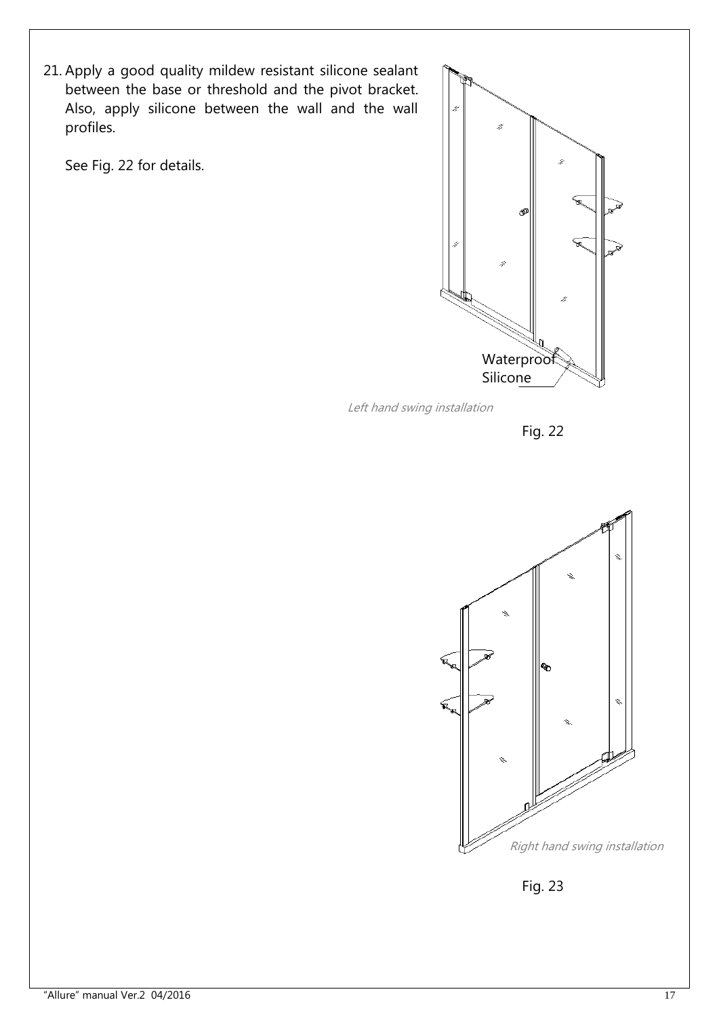21. Apply a good quality mildew resistant silicone sealant between the base or threshold and the pivot bracket. Also, apply silicone between the wall and the wall profiles.

See Fig. 22 for details.



Left hand swing installation





Fig. 23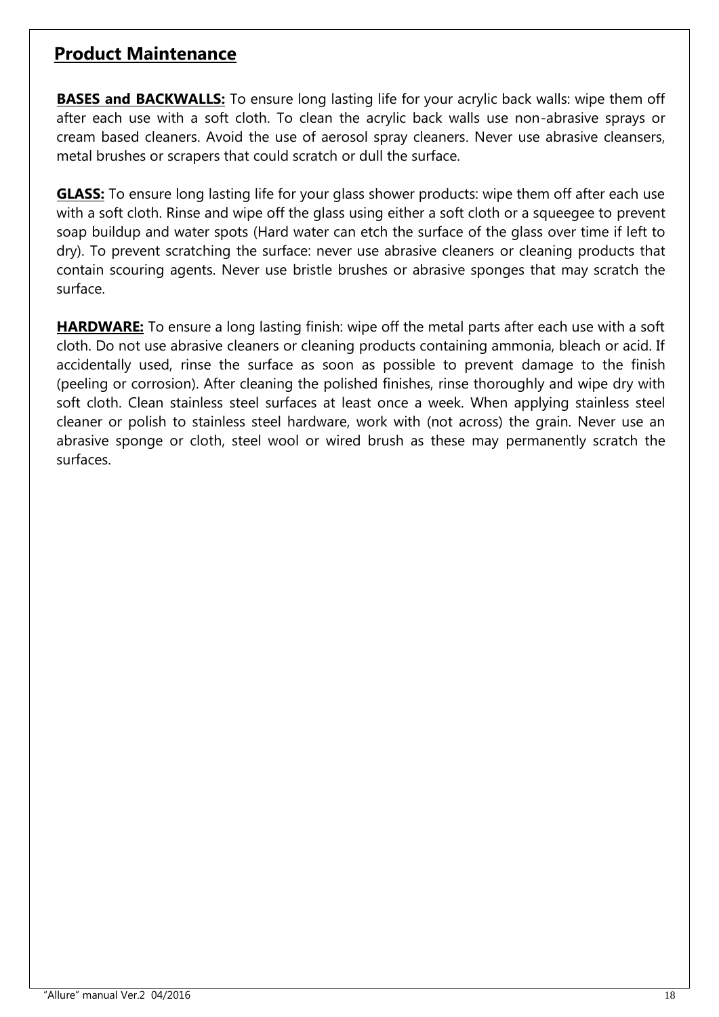#### **Product Maintenance**

**BASES and BACKWALLS:** To ensure long lasting life for your acrylic back walls: wipe them off after each use with a soft cloth. To clean the acrylic back walls use non-abrasive sprays or cream based cleaners. Avoid the use of aerosol spray cleaners. Never use abrasive cleansers, metal brushes or scrapers that could scratch or dull the surface.

**GLASS:** To ensure long lasting life for your glass shower products: wipe them off after each use with a soft cloth. Rinse and wipe off the glass using either a soft cloth or a squeegee to prevent soap buildup and water spots (Hard water can etch the surface of the glass over time if left to dry). To prevent scratching the surface: never use abrasive cleaners or cleaning products that contain scouring agents. Never use bristle brushes or abrasive sponges that may scratch the surface.

**HARDWARE:** To ensure a long lasting finish: wipe off the metal parts after each use with a soft cloth. Do not use abrasive cleaners or cleaning products containing ammonia, bleach or acid. If accidentally used, rinse the surface as soon as possible to prevent damage to the finish (peeling or corrosion). After cleaning the polished finishes, rinse thoroughly and wipe dry with soft cloth. Clean stainless steel surfaces at least once a week. When applying stainless steel cleaner or polish to stainless steel hardware, work with (not across) the grain. Never use an abrasive sponge or cloth, steel wool or wired brush as these may permanently scratch the surfaces.